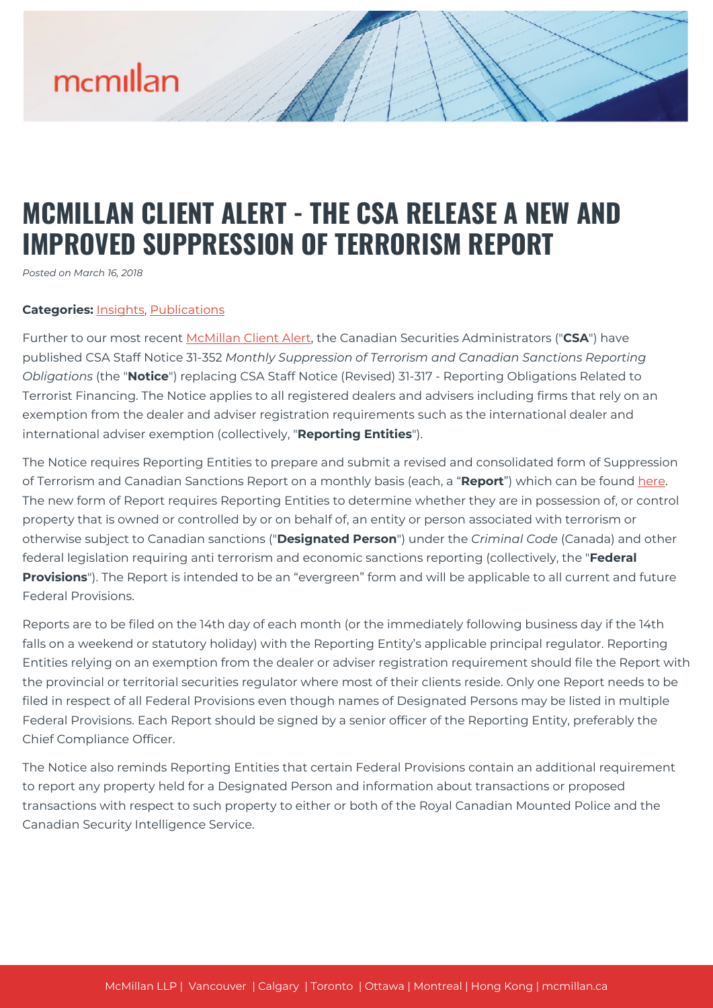# mcmillan

### **MCMILLAN CLIENT ALERT - THE CSA RELEASE A NEW AND IMPROVED SUPPRESSION OF TERRORISM REPORT**

*Posted on March 16, 2018*

#### **Categories:** [Insights,](https://mcmillan.ca/insights/) [Publications](https://mcmillan.ca/insights/publications/)

Further to our most recent [McMillan Client Alert,](https://mcmillan.ca/insights/mcmillan-client-alert-for-registered-dealers-advisors-and-firms-relying-on-international-dealer-or-international-advisor-exemption/) the Canadian Securities Administrators ("**CSA**") have published CSA Staff Notice 31-352 *Monthly Suppression of Terrorism and Canadian Sanctions Reporting Obligations* (the "**Notice**") replacing CSA Staff Notice (Revised) 31-317 - Reporting Obligations Related to Terrorist Financing. The Notice applies to all registered dealers and advisers including firms that rely on an exemption from the dealer and adviser registration requirements such as the international dealer and international adviser exemption (collectively, "**Reporting Entities**").

The Notice requires Reporting Entities to prepare and submit a revised and consolidated form of Suppression of Terrorism and Canadian Sanctions Report on a monthly basis (each, a "**Report**") which can be found [here.](https://eforms1.osc.gov.on.ca/e-filings/sot/form.do?token=36b7ff97-f464-4353-bca1-4b1d5a7c1524) The new form of Report requires Reporting Entities to determine whether they are in possession of, or control property that is owned or controlled by or on behalf of, an entity or person associated with terrorism or otherwise subject to Canadian sanctions ("**Designated Person**") under the *Criminal Code* (Canada) and other federal legislation requiring anti terrorism and economic sanctions reporting (collectively, the "**Federal Provisions**"). The Report is intended to be an "evergreen" form and will be applicable to all current and future Federal Provisions.

Reports are to be filed on the 14th day of each month (or the immediately following business day if the 14th falls on a weekend or statutory holiday) with the Reporting Entity's applicable principal regulator. Reporting Entities relying on an exemption from the dealer or adviser registration requirement should file the Report with the provincial or territorial securities regulator where most of their clients reside. Only one Report needs to be filed in respect of all Federal Provisions even though names of Designated Persons may be listed in multiple Federal Provisions. Each Report should be signed by a senior officer of the Reporting Entity, preferably the Chief Compliance Officer.

The Notice also reminds Reporting Entities that certain Federal Provisions contain an additional requirement to report any property held for a Designated Person and information about transactions or proposed transactions with respect to such property to either or both of the Royal Canadian Mounted Police and the Canadian Security Intelligence Service.